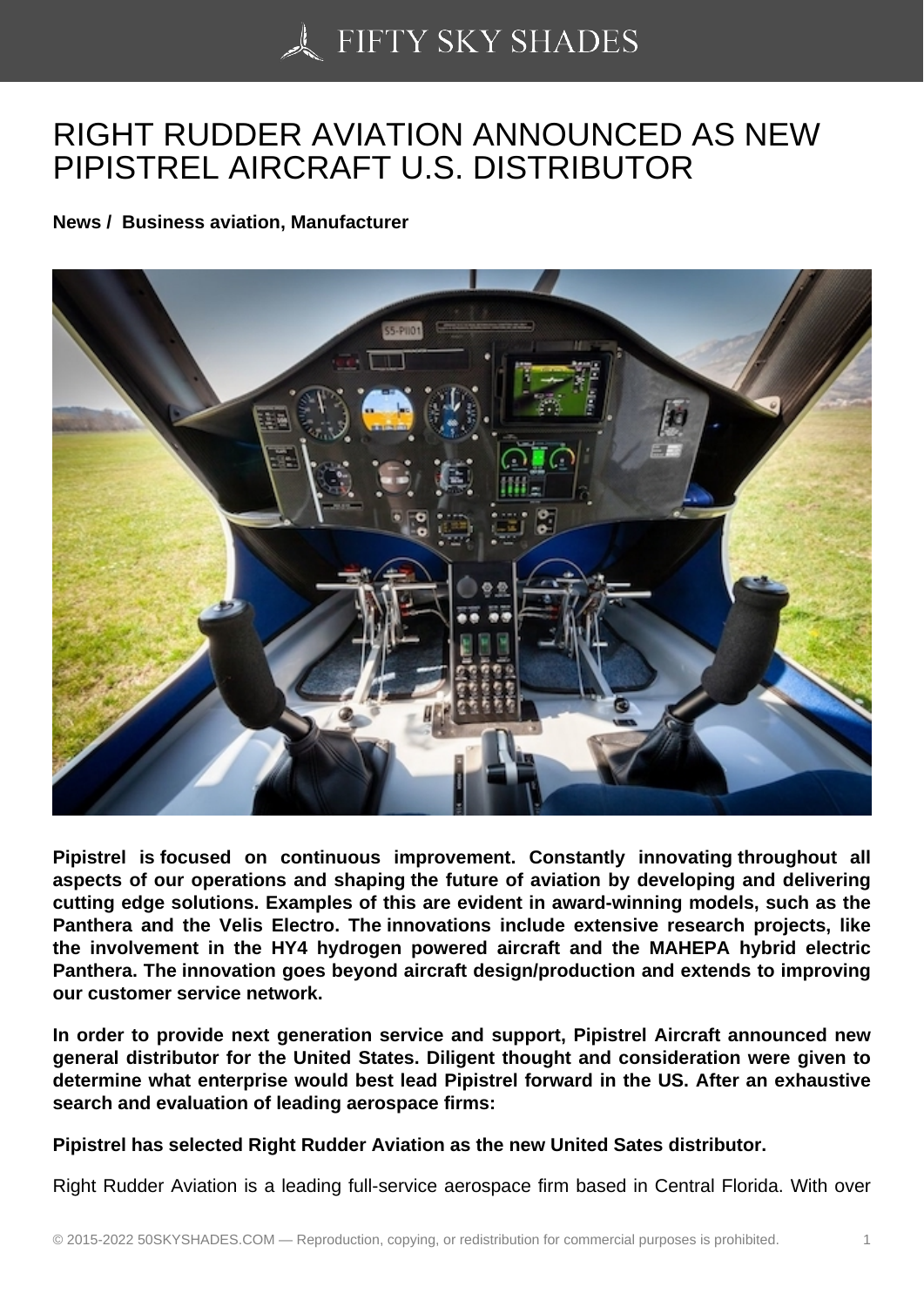## [RIGHT RUDDER AVIA](https://50skyshades.com)TION ANNOUNCED AS NEW PIPISTREL AIRCRAFT U.S. DISTRIBUTOR

News / Business aviation, Manufacturer

Pipistrel is focused on continuous improvement. Constantly innovating throughout all aspects of our operations and shaping the future of aviation by developing and delivering cutting edge solutions. Examples of this are evident in award-winning models, such as the Panthera and the Velis Electro. The innovations include extensive research projects, like the involvement in the HY4 hydrogen powered aircraft and the MAHEPA hybrid electric Panthera. The innovation goes beyond aircraft design/production and extends to improving our customer service network.

In order to provide next generation service and support, Pipistrel Aircraft announced new general distributor for the United States. Diligent thought and consideration were given to determine what enterprise would best lead Pipistrel forward in the US. After an exhaustive search and evaluation of leading aerospace firms:

Pipistrel has selected Right Rudder Aviation as the new United Sates distributor.

Right Rudder Aviation is a leading full-service aerospace firm based in Central Florida. With over